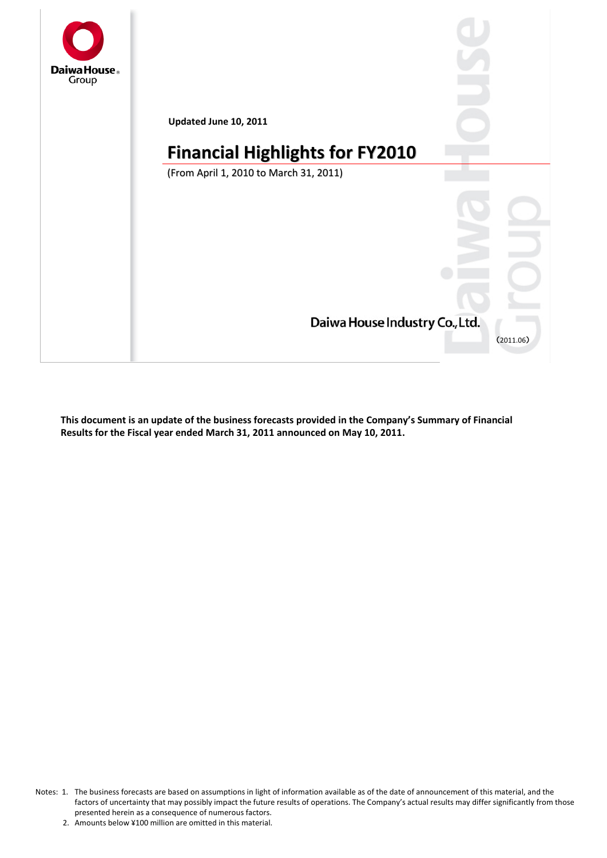

**This document is an update of the business forecasts provided in the Company's Summary of Financial Results for the Fiscal year ended March 31, 2011 announced on May 10, 2011.**

Notes: 1. The business forecasts are based on assumptions in light of information available as of the date of announcement of this material, and the factors of uncertainty that may possibly impact the future results of operations. The Company's actual results may differ significantly from those presented herein as a consequence of numerous factors.

<sup>2.</sup> Amounts below ¥100 million are omitted in this material.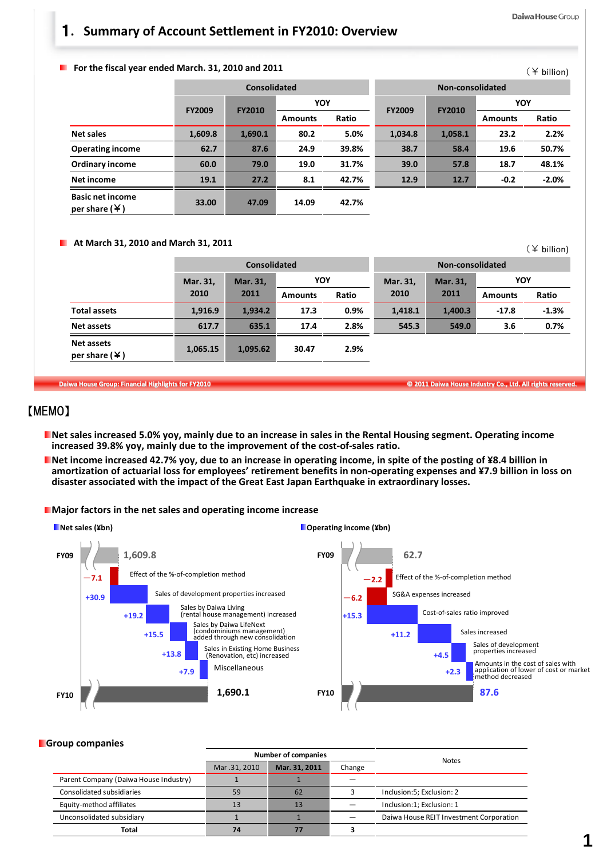(¥ billion)

(¥ billion)

## 1**. Summary of Account Settlement in FY2010: Overview**

**For the fiscal year ended March. 31, 2010 and 2011**

|                                                      |               | Consolidated  |                |       | Non-consolidated |               |                |         |
|------------------------------------------------------|---------------|---------------|----------------|-------|------------------|---------------|----------------|---------|
|                                                      |               |               |                | YOY   |                  |               | YOY            |         |
|                                                      | <b>FY2009</b> | <b>FY2010</b> | <b>Amounts</b> | Ratio | <b>FY2009</b>    | <b>FY2010</b> | <b>Amounts</b> | Ratio   |
| <b>Net sales</b>                                     | 1,609.8       | 1,690.1       | 80.2           | 5.0%  | 1,034.8          | 1,058.1       | 23.2           | 2.2%    |
| <b>Operating income</b>                              | 62.7          | 87.6          | 24.9           | 39.8% | 38.7             | 58.4          | 19.6           | 50.7%   |
| <b>Ordinary income</b>                               | 60.0          | 79.0          | 19.0           | 31.7% | 39.0             | 57.8          | 18.7           | 48.1%   |
| Net income                                           | 19.1          | 27.2          | 8.1            | 42.7% | 12.9             | 12.7          | $-0.2$         | $-2.0%$ |
| <b>Basic net income</b><br>per share $(\frac{1}{2})$ | 33.00         | 47.09         | 14.09          | 42.7% |                  |               |                |         |

#### **At March 31, 2010 and March 31, 2011**

|                                         |          | <b>Consolidated</b> |                |            | Non-consolidated |          |                |         |
|-----------------------------------------|----------|---------------------|----------------|------------|------------------|----------|----------------|---------|
|                                         | Mar. 31, | Mar. 31,            |                | <b>YOY</b> |                  | Mar. 31, | <b>YOY</b>     |         |
|                                         | 2010     | 2011                | <b>Amounts</b> | Ratio      | 2010             | 2011     | <b>Amounts</b> | Ratio   |
| <b>Total assets</b>                     | 1,916.9  | 1.934.2             | 17.3           | 0.9%       | 1,418.1          | 1,400.3  | $-17.8$        | $-1.3%$ |
| Net assets                              | 617.7    | 635.1               | 17.4           | 2.8%       | 545.3            | 549.0    | 3.6            | 0.7%    |
| <b>Net assets</b><br>per share $(\yen)$ | 1.065.15 | 1,095.62            | 30.47          | 2.9%       |                  |          |                |         |

Daiwa House Group: Financial Highlights for FY2010 **Canadia Accord Control Control Control Control Control Control** Control Control Control Control Control Control Control Control Control Control Control Control Control Co

## 【MEMO】

- Net sales increased 5.0% yoy, mainly due to an increase in sales in the Rental Housing segment. Operating income **increased 39.8% yoy, mainly due to the improvement of the cost‐of‐sales ratio.**
- **Net income increased 42.7% yoy, due to an increase in operating income, in spite of the posting of ¥8.4 billion in** amortization of actuarial loss for employees' retirement benefits in non-operating expenses and ¥7.9 billion in loss on **disaster associated with the impact of the Great East Japan Earthquake in extraordinary losses.**

### **Major factors in the net sales and operating income increase**



### **Group companies**

|                                       | Number of companies |                |        |                                         |  |  |
|---------------------------------------|---------------------|----------------|--------|-----------------------------------------|--|--|
|                                       | Mar .31, 2010       | Mar. 31, 2011  | Change | <b>Notes</b>                            |  |  |
| Parent Company (Daiwa House Industry) |                     |                |        |                                         |  |  |
| Consolidated subsidiaries             | 59                  | 62             |        | Inclusion:5; Exclusion: 2               |  |  |
| Equity-method affiliates              | 13                  | 1 <sup>3</sup> |        | Inclusion:1; Exclusion: 1               |  |  |
| Unconsolidated subsidiary             |                     |                |        | Daiwa House REIT Investment Corporation |  |  |
| Total                                 | 74                  |                |        |                                         |  |  |
|                                       |                     |                |        |                                         |  |  |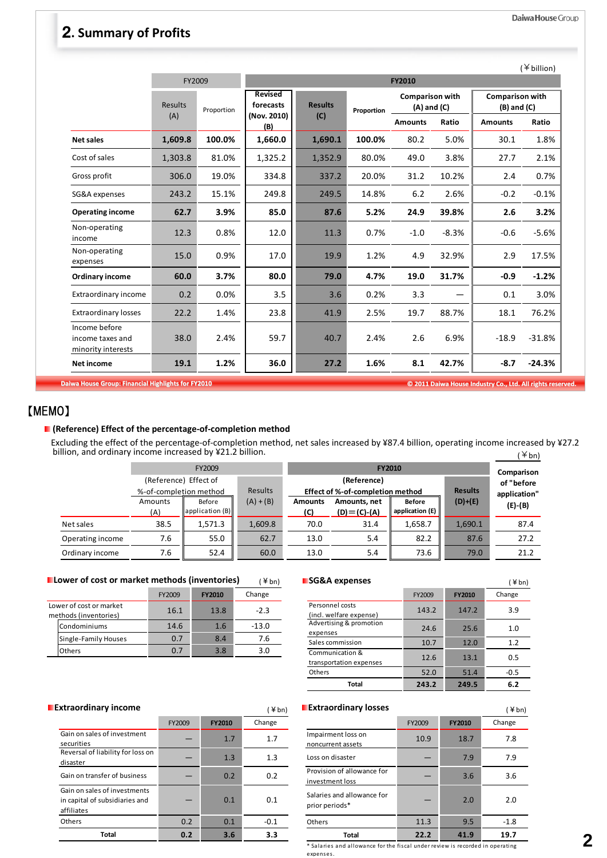# 2**. Summary of Profits**

|                                                         | FY2009                |            |                                            | <b>FY2010</b>                                                             |        |                                           |         |                |          |  |  |
|---------------------------------------------------------|-----------------------|------------|--------------------------------------------|---------------------------------------------------------------------------|--------|-------------------------------------------|---------|----------------|----------|--|--|
|                                                         | <b>Results</b><br>(A) | Proportion | <b>Revised</b><br>forecasts<br>(Nov. 2010) | <b>Comparison with</b><br><b>Results</b><br>$(A)$ and $(C)$<br>Proportion |        | <b>Comparison with</b><br>$(B)$ and $(C)$ |         |                |          |  |  |
|                                                         |                       |            | (B)                                        | (C)                                                                       |        | <b>Amounts</b>                            | Ratio   | <b>Amounts</b> | Ratio    |  |  |
| <b>Net sales</b>                                        | 1,609.8               | 100.0%     | 1,660.0                                    | 1,690.1                                                                   | 100.0% | 80.2                                      | 5.0%    | 30.1           | 1.8%     |  |  |
| Cost of sales                                           | 1,303.8               | 81.0%      | 1,325.2                                    | 1,352.9                                                                   | 80.0%  | 49.0                                      | 3.8%    | 27.7           | 2.1%     |  |  |
| Gross profit                                            | 306.0                 | 19.0%      | 334.8                                      | 337.2                                                                     | 20.0%  | 31.2                                      | 10.2%   | 2.4            | 0.7%     |  |  |
| SG&A expenses                                           | 243.2                 | 15.1%      | 249.8                                      | 249.5                                                                     | 14.8%  | 6.2                                       | 2.6%    | $-0.2$         | $-0.1%$  |  |  |
| <b>Operating income</b>                                 | 62.7                  | 3.9%       | 85.0                                       | 87.6                                                                      | 5.2%   | 24.9                                      | 39.8%   | 2.6            | 3.2%     |  |  |
| Non-operating<br>income                                 | 12.3                  | 0.8%       | 12.0                                       | 11.3                                                                      | 0.7%   | $-1.0$                                    | $-8.3%$ | $-0.6$         | $-5.6%$  |  |  |
| Non-operating<br>expenses                               | 15.0                  | 0.9%       | 17.0                                       | 19.9                                                                      | 1.2%   | 4.9                                       | 32.9%   | 2.9            | 17.5%    |  |  |
| <b>Ordinary income</b>                                  | 60.0                  | 3.7%       | 80.0                                       | 79.0                                                                      | 4.7%   | 19.0                                      | 31.7%   | $-0.9$         | $-1.2%$  |  |  |
| <b>Extraordinary income</b>                             | 0.2                   | 0.0%       | 3.5                                        | 3.6                                                                       | 0.2%   | 3.3                                       |         | 0.1            | 3.0%     |  |  |
| <b>Extraordinary losses</b>                             | 22.2                  | 1.4%       | 23.8                                       | 41.9                                                                      | 2.5%   | 19.7                                      | 88.7%   | 18.1           | 76.2%    |  |  |
| Income before<br>income taxes and<br>minority interests | 38.0                  | 2.4%       | 59.7                                       | 40.7                                                                      | 2.4%   | 2.6                                       | 6.9%    | $-18.9$        | $-31.8%$ |  |  |
| <b>Net income</b>                                       | 19.1                  | 1.2%       | 36.0                                       | 27.2                                                                      | 1.6%   | 8.1                                       | 42.7%   | $-8.7$         | $-24.3%$ |  |  |

# 【MEMO】

### **(Reference) Effect of the percentage‐of‐completion method**

(¥bn) Excluding the effect of the percentage‐of‐completion method, net sales increased by ¥87.4 billion, operating income increased by ¥27.2 billion, and ordinary income increased by ¥21.2 billion.

|                  |                        | FY2009          |             |                | <b>FY2010</b>                    |                 |                |               |  |  |
|------------------|------------------------|-----------------|-------------|----------------|----------------------------------|-----------------|----------------|---------------|--|--|
|                  | (Reference) Effect of  |                 |             |                | (Reference)                      |                 |                |               |  |  |
|                  | %-of-completion method |                 | Results     |                | Effect of %-of-completion method |                 | <b>Results</b> | application"  |  |  |
|                  | Amounts                | Before          | $(A) + (B)$ | <b>Amounts</b> | Amounts, net                     | <b>Before</b>   | $(D)+(E)$      | $(E)$ - $(B)$ |  |  |
|                  | (A)                    | application (B) |             | (C)            | $(D) = (C) - (A)$                | application (E) |                |               |  |  |
| Net sales        | 38.5                   | 1,571.3         | 1,609.8     | 70.0           | 31.4                             | 1,658.7         | 1,690.1        | 87.4          |  |  |
| Operating income | 7.6                    | 55.0            | 62.7        | 13.0           | 5.4                              | 82.2            | 87.6           | 27.2          |  |  |
| Ordinary income  | 7.6                    | 52.4            | 60.0        | 13.0           | 5.4                              | 73.6            | 79.0           | 21.2          |  |  |

| Lower of cost or market methods (inventories) | $(*bn)$ |
|-----------------------------------------------|---------|
|-----------------------------------------------|---------|

|                                                  | FY2009 | <b>FY2010</b> | Change  |
|--------------------------------------------------|--------|---------------|---------|
| Lower of cost or market<br>methods (inventories) | 16.1   | 13.8          | $-2.3$  |
| Condominiums                                     | 14.6   | 1.6           | $-13.0$ |
| Single-Family Houses                             | 0.7    | 8.4           | 7.6     |
| Others                                           | ი ⁊    | 3.8           | 3.0     |

| <b>SG&amp;A</b> expenses                   |        |               | $\angle$ bn) |  |
|--------------------------------------------|--------|---------------|--------------|--|
|                                            | FY2009 | <b>FY2010</b> | Change       |  |
| Personnel costs<br>(incl. welfare expense) | 143.2  | 147.2         | 3.9          |  |
| Advertising & promotion<br>expenses        | 24.6   | 25.6          | 1.0          |  |
| Sales commission                           | 10.7   | 12.0          | 1.2          |  |
| Communication &<br>transportation expenses | 12.6   | 13.1          | 0.5          |  |
| Others                                     | 52.0   | 51.4          | $-0.5$       |  |
| Total                                      | 243.2  | 249.5         | 6.2          |  |

| <b>Extraordinary income</b>                                                  |        |               | (¥bn)  | <b>Extraordinary losses</b>                   |        |               | (¥bn`  |
|------------------------------------------------------------------------------|--------|---------------|--------|-----------------------------------------------|--------|---------------|--------|
|                                                                              | FY2009 | <b>FY2010</b> | Change |                                               | FY2009 | <b>FY2010</b> | Change |
| Gain on sales of investment<br>securities                                    |        | 1.7           | 1.7    | Impairment loss on<br>noncurrent assets       | 10.9   | 18.7          | 7.8    |
| Reversal of liability for loss on<br>disaster                                |        | 1.3           | 1.3    | Loss on disaster                              |        | 7.9           | 7.9    |
| Gain on transfer of business                                                 |        | 0.2           | 0.2    | Provision of allowance for<br>investment loss |        | 3.6           | 3.6    |
| Gain on sales of investments<br>in capital of subsidiaries and<br>affiliates |        | 0.1           | 0.1    | Salaries and allowance for<br>prior periods*  |        | 2.0           | 2.0    |
| Others                                                                       | 0.2    | 0.1           | $-0.1$ | <b>Others</b>                                 | 11.3   | 9.5           | $-1.8$ |
| <b>Total</b>                                                                 | 0.2    | 3.6           | 3.3    | <b>Total</b>                                  | 22.2   | 41.9          | 19.7   |

|        |                                                                               | ∓ pn)  | — LAGI UVI UIIIUI VIIVJJEJ                    |        |               | ∓ pn)  |  |  |  |  |  |
|--------|-------------------------------------------------------------------------------|--------|-----------------------------------------------|--------|---------------|--------|--|--|--|--|--|
| FY2009 | <b>FY2010</b>                                                                 | Change |                                               | FY2009 | <b>FY2010</b> | Change |  |  |  |  |  |
|        | 1.7                                                                           | 1.7    | Impairment loss on<br>noncurrent assets       | 10.9   | 18.7          | 7.8    |  |  |  |  |  |
|        | 1.3                                                                           | 1.3    | Loss on disaster                              |        | 7.9           | 7.9    |  |  |  |  |  |
|        | 0.2                                                                           | 0.2    | Provision of allowance for<br>investment loss |        | 3.6           | 3.6    |  |  |  |  |  |
|        | 0.1                                                                           | 0.1    | Salaries and allowance for<br>prior periods*  |        | 2.0           | 2.0    |  |  |  |  |  |
| 0.2    | 0.1                                                                           | $-0.1$ | Others                                        | 11.3   | 9.5           | $-1.8$ |  |  |  |  |  |
| 0.2    | 3.6                                                                           | 3.3    | <b>Total</b>                                  | 22.2   | 41.9          | 19.7   |  |  |  |  |  |
|        | * Salaries and allowance for the fiscal under review is recorded in operating |        |                                               |        |               |        |  |  |  |  |  |

expenses.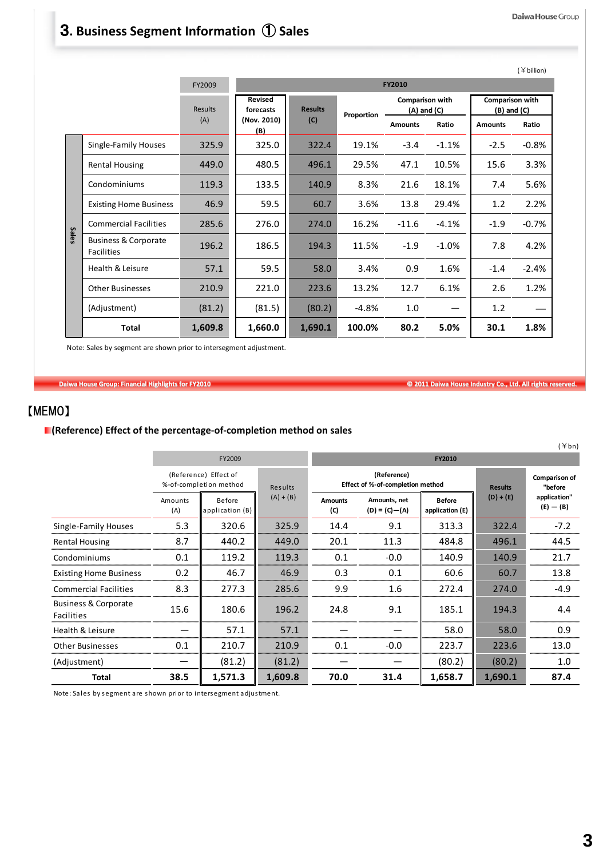#### Daiwa House Group

# 3**. Business Segment Information** ① **Sales**

|              |                                                                    |                |                                                                                            |         |         |                                |         |                | $($ ¥ billion) |
|--------------|--------------------------------------------------------------------|----------------|--------------------------------------------------------------------------------------------|---------|---------|--------------------------------|---------|----------------|----------------|
|              |                                                                    | FY2009         |                                                                                            |         |         | <b>FY2010</b>                  |         |                |                |
|              |                                                                    | <b>Results</b> | Revised<br>Comparison with<br><b>Results</b><br>forecasts<br>$(A)$ and $(C)$<br>Proportion |         |         | Comparison with<br>(B) and (C) |         |                |                |
|              |                                                                    | (A)            | (Nov. 2010)<br>(B)                                                                         | (C)     |         | <b>Amounts</b>                 | Ratio   | <b>Amounts</b> | Ratio          |
|              | <b>Single-Family Houses</b>                                        | 325.9          | 325.0                                                                                      | 322.4   | 19.1%   | $-3.4$                         | $-1.1%$ | $-2.5$         | $-0.8%$        |
|              | <b>Rental Housing</b>                                              | 449.0          | 480.5                                                                                      | 496.1   | 29.5%   | 47.1                           | 10.5%   | 15.6           | 3.3%           |
|              | Condominiums                                                       | 119.3          | 133.5                                                                                      | 140.9   | 8.3%    | 21.6                           | 18.1%   | 7.4            | 5.6%           |
|              | <b>Existing Home Business</b>                                      | 46.9           | 59.5                                                                                       | 60.7    | 3.6%    | 13.8                           | 29.4%   | 1.2            | 2.2%           |
|              | <b>Commercial Facilities</b>                                       | 285.6          | 276.0                                                                                      | 274.0   | 16.2%   | $-11.6$                        | $-4.1%$ | $-1.9$         | $-0.7%$        |
| <b>Sales</b> | <b>Business &amp; Corporate</b><br><b>Facilities</b>               | 196.2          | 186.5                                                                                      | 194.3   | 11.5%   | $-1.9$                         | $-1.0%$ | 7.8            | 4.2%           |
|              | Health & Leisure                                                   | 57.1           | 59.5                                                                                       | 58.0    | 3.4%    | 0.9                            | 1.6%    | $-1.4$         | $-2.4%$        |
|              | <b>Other Businesses</b>                                            | 210.9          | 221.0                                                                                      | 223.6   | 13.2%   | 12.7                           | 6.1%    | 2.6            | 1.2%           |
|              | (Adjustment)                                                       | (81.2)         | (81.5)                                                                                     | (80.2)  | $-4.8%$ | 1.0                            |         | 1.2            |                |
|              | Total                                                              | 1,609.8        | 1,660.0                                                                                    | 1,690.1 | 100.0%  | 80.2                           | 5.0%    | 30.1           | 1.8%           |
|              | Note: Sales by segment are shown prior to intersegment adjustment. |                |                                                                                            |         |         |                                |         |                |                |

Daiwa House Group: Financial Highlights for FY2010 **Canadia Accord Control Control Control** Co., Ltd. All rights reserved.

 $(\forall k)$ 

## 【MEMO】

## **(Reference) Effect of the percentage‐of‐completion method on sales**

|                                                      |                                                 |                                 |             |                       |                                                 |                                  |                | $1 + UII$                   |
|------------------------------------------------------|-------------------------------------------------|---------------------------------|-------------|-----------------------|-------------------------------------------------|----------------------------------|----------------|-----------------------------|
|                                                      |                                                 | FY2009                          |             |                       |                                                 | FY2010                           |                |                             |
|                                                      | (Reference) Effect of<br>%-of-completion method |                                 | Results     |                       | (Reference)<br>Effect of %-of-completion method |                                  | <b>Results</b> | Comparison of<br>"before    |
|                                                      | Amounts<br>(A)                                  | <b>Before</b><br>application(B) | $(A) + (B)$ | <b>Amounts</b><br>(C) | Amounts, net<br>$(D) = (C) - (A)$               | <b>Before</b><br>application (E) | $(D) + (E)$    | application"<br>$(E) - (B)$ |
| Single-Family Houses                                 | 5.3                                             | 320.6                           | 325.9       | 14.4                  | 9.1                                             | 313.3                            | 322.4          | $-7.2$                      |
| <b>Rental Housing</b>                                | 8.7                                             | 440.2                           | 449.0       | 20.1                  | 11.3                                            | 484.8                            | 496.1          | 44.5                        |
| Condominiums                                         | 0.1                                             | 119.2                           | 119.3       | 0.1                   | $-0.0$                                          | 140.9                            | 140.9          | 21.7                        |
| <b>Existing Home Business</b>                        | 0.2                                             | 46.7                            | 46.9        | 0.3                   | 0.1                                             | 60.6                             | 60.7           | 13.8                        |
| <b>Commercial Facilities</b>                         | 8.3                                             | 277.3                           | 285.6       | 9.9                   | 1.6                                             | 272.4                            | 274.0          | $-4.9$                      |
| <b>Business &amp; Corporate</b><br><b>Facilities</b> | 15.6                                            | 180.6                           | 196.2       | 24.8                  | 9.1                                             | 185.1                            | 194.3          | 4.4                         |
| Health & Leisure                                     |                                                 | 57.1                            | 57.1        |                       |                                                 | 58.0                             | 58.0           | 0.9                         |
| <b>Other Businesses</b>                              | 0.1                                             | 210.7                           | 210.9       | 0.1                   | $-0.0$                                          | 223.7                            | 223.6          | 13.0                        |
| (Adjustment)                                         |                                                 | (81.2)                          | (81.2)      |                       |                                                 | (80.2)                           | (80.2)         | 1.0                         |
| <b>Total</b>                                         | 38.5                                            | 1,571.3                         | 1,609.8     | 70.0                  | 31.4                                            | 1,658.7                          | 1,690.1        | 87.4                        |

Note: Sales by segment a re shown prior to i ntersegment adjus tment.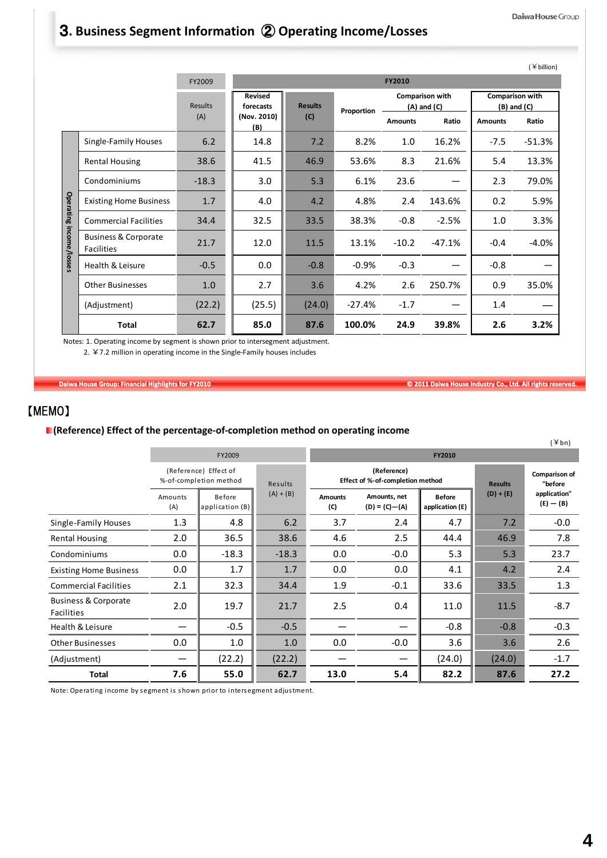### Daiwa House Group

# 3**. Business Segment Information** ② **Operating Income/Losses**

|                         |                                                                                                                                                                | FY2009                |                                                   |                       |            | <b>FY2010</b>  |                                                    |                | $(\nless$ billion)                          |
|-------------------------|----------------------------------------------------------------------------------------------------------------------------------------------------------------|-----------------------|---------------------------------------------------|-----------------------|------------|----------------|----------------------------------------------------|----------------|---------------------------------------------|
|                         |                                                                                                                                                                | <b>Results</b><br>(A) | <b>Revised</b><br>forecasts<br>(Nov. 2010)<br>(B) | <b>Results</b><br>(C) | Proportion | <b>Amounts</b> | <b>Comparison with</b><br>$(A)$ and $(C)$<br>Ratio | <b>Amounts</b> | Comparison with<br>$(B)$ and $(C)$<br>Ratio |
|                         | Single-Family Houses                                                                                                                                           | 6.2                   | 14.8                                              | 7.2                   | 8.2%       | 1.0            | 16.2%                                              | $-7.5$         | $-51.3%$                                    |
|                         | <b>Rental Housing</b>                                                                                                                                          | 38.6                  | 41.5                                              | 46.9                  | 53.6%      | 8.3            | 21.6%                                              | 5.4            | 13.3%                                       |
|                         | Condominiums                                                                                                                                                   | $-18.3$               | 3.0                                               | 5.3                   | 6.1%       | 23.6           |                                                    | 2.3            | 79.0%                                       |
|                         | <b>Existing Home Business</b>                                                                                                                                  | 1.7                   | 4.0                                               | 4.2                   | 4.8%       | 2.4            | 143.6%                                             | 0.2            | 5.9%                                        |
|                         | <b>Commercial Facilities</b>                                                                                                                                   | 34.4                  | 32.5                                              | 33.5                  | 38.3%      | $-0.8$         | $-2.5%$                                            | 1.0            | 3.3%                                        |
| Operating income/losses | <b>Business &amp; Corporate</b><br><b>Facilities</b>                                                                                                           | 21.7                  | 12.0                                              | 11.5                  | 13.1%      | $-10.2$        | $-47.1%$                                           | $-0.4$         | $-4.0%$                                     |
|                         | <b>Health &amp; Leisure</b>                                                                                                                                    | $-0.5$                | 0.0                                               | $-0.8$                | $-0.9%$    | $-0.3$         |                                                    | $-0.8$         |                                             |
|                         | <b>Other Businesses</b>                                                                                                                                        | 1.0                   | 2.7                                               | 3.6                   | 4.2%       | 2.6            | 250.7%                                             | 0.9            | 35.0%                                       |
|                         | (Adjustment)                                                                                                                                                   | (22.2)                | (25.5)                                            | (24.0)                | $-27.4%$   | $-1.7$         |                                                    | 1.4            |                                             |
|                         | <b>Total</b>                                                                                                                                                   | 62.7                  | 85.0                                              | 87.6                  | 100.0%     | 24.9           | 39.8%                                              | 2.6            | 3.2%                                        |
|                         | Notes: 1. Operating income by segment is shown prior to intersegment adjustment.<br>2. $47.2$ million in operating income in the Single-Family houses includes |                       |                                                   |                       |            |                |                                                    |                |                                             |

Daiwa House Group: Financial Highlights for FY2010 **Canadia Accord Control Control Control** Co., Ltd. All rights reserved.

## 【MEMO】

## **(Reference) Effect of the percentage‐of‐completion method on operating income**

|                                                      |                                                 |                           |             |                       |                                                 |                                  |                          | $(\nPsi b n)$                |  |
|------------------------------------------------------|-------------------------------------------------|---------------------------|-------------|-----------------------|-------------------------------------------------|----------------------------------|--------------------------|------------------------------|--|
|                                                      |                                                 | FY2009                    |             | FY2010                |                                                 |                                  |                          |                              |  |
|                                                      | (Reference) Effect of<br>%-of-completion method |                           | Results     |                       | (Reference)<br>Effect of %-of-completion method | <b>Results</b>                   | Comparison of<br>"before |                              |  |
|                                                      | Amounts<br>(A)                                  | Before<br>application (B) | $(A) + (B)$ | <b>Amounts</b><br>(C) | Amounts, net<br>$(D) = (C) - (A)$               | <b>Before</b><br>application (E) | $(D) + (E)$              | application"<br>$(E)$ $ (B)$ |  |
| Single-Family Houses                                 | 1.3                                             | 4.8                       | 6.2         | 3.7                   | 2.4                                             | 4.7                              | 7.2                      | $-0.0$                       |  |
| <b>Rental Housing</b>                                | 2.0                                             | 36.5                      | 38.6        | 4.6                   | 2.5                                             | 44.4                             | 46.9                     | 7.8                          |  |
| Condominiums                                         | 0.0                                             | $-18.3$                   | $-18.3$     | 0.0                   | $-0.0$                                          | 5.3                              | 5.3                      | 23.7                         |  |
| <b>Existing Home Business</b>                        | 0.0                                             | 1.7                       | 1.7         | 0.0                   | 0.0                                             | 4.1                              | 4.2                      | 2.4                          |  |
| <b>Commercial Facilities</b>                         | 2.1                                             | 32.3                      | 34.4        | 1.9                   | $-0.1$                                          | 33.6                             | 33.5                     | 1.3                          |  |
| <b>Business &amp; Corporate</b><br><b>Facilities</b> | 2.0                                             | 19.7                      | 21.7        | 2.5                   | 0.4                                             | 11.0                             | 11.5                     | $-8.7$                       |  |
| Health & Leisure                                     |                                                 | $-0.5$                    | $-0.5$      |                       |                                                 | $-0.8$                           | $-0.8$                   | $-0.3$                       |  |
| <b>Other Businesses</b>                              | $0.0\,$                                         | 1.0                       | 1.0         | 0.0                   | $-0.0$                                          | 3.6                              | 3.6                      | 2.6                          |  |
| (Adjustment)                                         |                                                 | (22.2)                    | (22.2)      |                       |                                                 | (24.0)                           | (24.0)                   | $-1.7$                       |  |
| <b>Total</b>                                         | 7.6                                             | 55.0                      | 62.7        | 13.0                  | 5.4                                             | 82.2                             | 87.6                     | 27.2                         |  |

Note: Operating income by segment is shown prior to intersegment adjustment.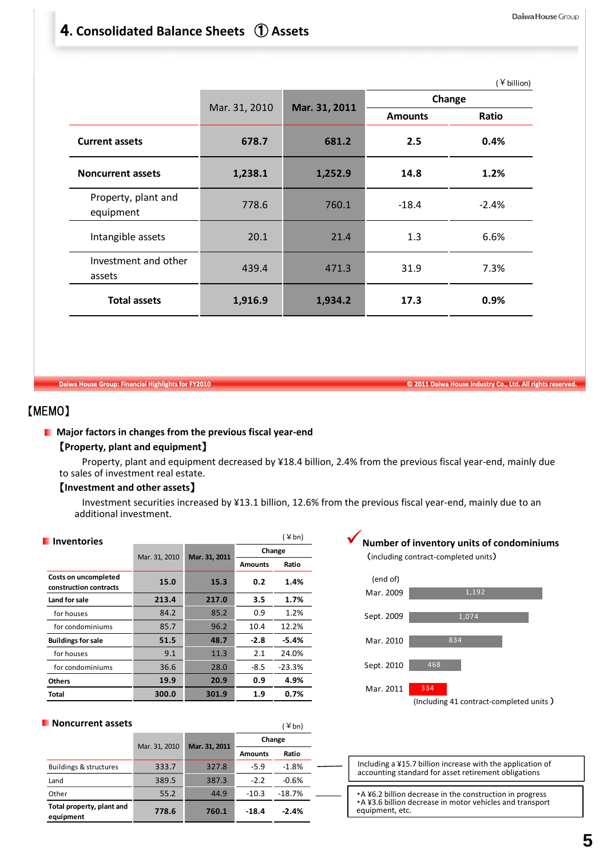#### Daiwa House Group

# 4**. Consolidated Balance Sheets** ① **Assets**

|                                  |               |               |                | $(*\text{ billion})$ |
|----------------------------------|---------------|---------------|----------------|----------------------|
|                                  | Mar. 31, 2010 | Mar. 31, 2011 |                | Change               |
|                                  |               |               | <b>Amounts</b> | Ratio                |
| <b>Current assets</b>            | 678.7         | 681.2         | 2.5            | 0.4%                 |
| <b>Noncurrent assets</b>         | 1,238.1       | 1,252.9       | 14.8           | 1.2%                 |
| Property, plant and<br>equipment | 778.6         | 760.1         | $-18.4$        | $-2.4%$              |
| Intangible assets                | 20.1          | 21.4          | 1.3            | 6.6%                 |
| Investment and other<br>assets   | 439.4         | 471.3         | 31.9           | 7.3%                 |
| <b>Total assets</b>              | 1,916.9       | 1,934.2       | 17.3           | 0.9%                 |

```
Daiwa House Group: Financial Highlights for FY2010 Canadia Accord Contract Contract Contract Contract Contract Contract Contract Contract Contract Contract Contract Contract Contract Contract Contract Contract Contract Co
```
## 【MEMO】

## **Major factors in changes from the previous fiscal year‐end**

### 【**Property, plant and equipment**】

Property, plant and equipment decreased by ¥18.4 billion, 2.4% from the previous fiscal year-end, mainly due to sales of investment real estate.

## 【**Investment and other assets**】

Investment securities increased by ¥13.1 billion, 12.6% from the previous fiscal year-end, mainly due to an additional investment.

| Inventories                                    |                                |       | $(\nless h)$   |          |  |  |
|------------------------------------------------|--------------------------------|-------|----------------|----------|--|--|
|                                                |                                |       | Change         |          |  |  |
|                                                | Mar. 31, 2010<br>Mar. 31, 2011 |       | <b>Amounts</b> | Ratio    |  |  |
| Costs on uncompleted<br>construction contracts | 15.0                           | 15.3  | 0.2            | 1.4%     |  |  |
| Land for sale                                  | 213.4                          | 217.0 | 3.5            | 1.7%     |  |  |
| for houses                                     | 84.2                           | 85.2  | 0.9            | 1.2%     |  |  |
| for condominiums                               | 85.7                           | 96.2  | 10.4           | 12.2%    |  |  |
| <b>Buildings for sale</b>                      | 51.5                           | 48.7  | $-2.8$         | $-5.4%$  |  |  |
| for houses                                     | 9.1                            | 11.3  | 2.1            | 24.0%    |  |  |
| for condominiums                               | 36.6                           | 28.0  | $-8.5$         | $-23.3%$ |  |  |
| <b>Others</b>                                  | 19.9                           | 20.9  | 0.9            | 4.9%     |  |  |
| Total                                          | 300.0                          | 301.9 | 1.9            | 0.7%     |  |  |

# **Number of inventory units of condominiums**

(including contract‐completed units)



| <b>Noncurrent assets</b> |
|--------------------------|
|--------------------------|

| Mar. 31, 2010 | Mar. 31, 2011 | <b>Amounts</b> | Change<br>Ratio |  |
|---------------|---------------|----------------|-----------------|--|
|               |               |                |                 |  |
|               |               |                |                 |  |
|               | 327.8         | $-5.9$         | $-1.8%$         |  |
| 389.5         | 387.3         | $-2.2$         | $-0.6%$         |  |
| 55.2          | 44.9          | $-10.3$        | $-18.7%$        |  |
| 778.6         | 760.1         | $-18.4$        | $-2.4%$         |  |
|               | 333.7         |                |                 |  |

| Including a ¥15.7 billion increase with the application of<br>accounting standard for asset retirement obligations                        |
|-------------------------------------------------------------------------------------------------------------------------------------------|
|                                                                                                                                           |
| • A ¥6.2 billion decrease in the construction in progress<br>• A ¥3.6 billion decrease in motor vehicles and transport<br>equipment, etc. |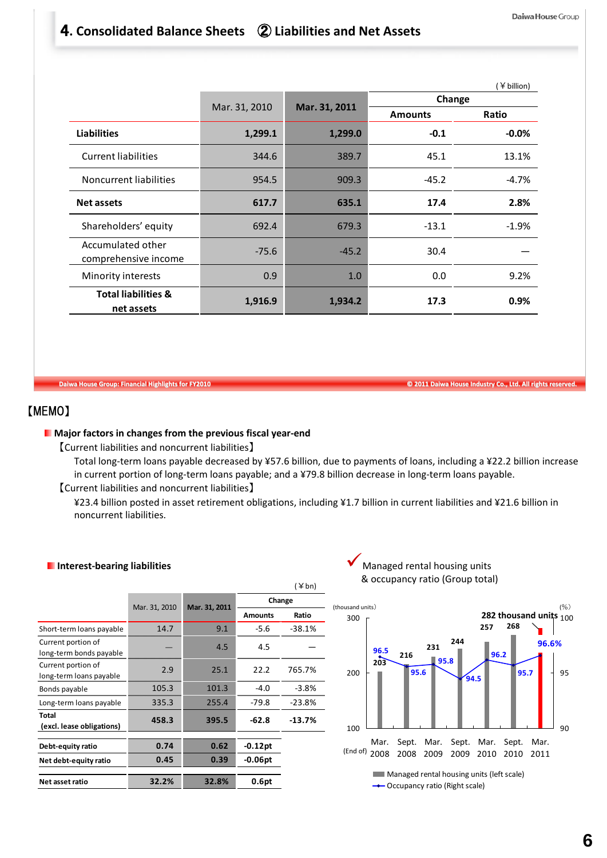## 4**. Consolidated Balance Sheets** ② **Liabilities and Net Assets**

|                                              |               |               |                | (¥ billion) |  |  |
|----------------------------------------------|---------------|---------------|----------------|-------------|--|--|
|                                              |               | Mar. 31, 2011 | Change         |             |  |  |
|                                              | Mar. 31, 2010 |               | <b>Amounts</b> | Ratio       |  |  |
| <b>Liabilities</b>                           | 1,299.1       | 1,299.0       | $-0.1$         | $-0.0%$     |  |  |
| <b>Current liabilities</b>                   | 344.6         | 389.7         | 45.1           | 13.1%       |  |  |
| Noncurrent liabilities                       | 954.5         | 909.3         | $-45.2$        | $-4.7%$     |  |  |
| <b>Net assets</b>                            | 617.7         | 635.1         | 17.4           | 2.8%        |  |  |
| Shareholders' equity                         | 692.4         | 679.3         | $-13.1$        | $-1.9%$     |  |  |
| Accumulated other<br>comprehensive income    | $-75.6$       | $-45.2$       | 30.4           |             |  |  |
| Minority interests                           | 0.9           | 1.0           | 0.0            | 9.2%        |  |  |
| <b>Total liabilities &amp;</b><br>net assets | 1,916.9       | 1,934.2       | 17.3           | 0.9%        |  |  |

Daiwa House Group: Financial Highlights for FY2010 **Community Community Community Community Community Community Community Community Community Community Community Community Community Community Community Community Community** 

## 【MEMO】

### **Major factors in changes from the previous fiscal year‐end**

【Current liabilities and noncurrent liabilities】

Total long‐term loans payable decreased by ¥57.6 billion, due to payments of loans, including a ¥22.2 billion increase in current portion of long‐term loans payable; and a ¥79.8 billion decrease in long‐term loans payable.

【Current liabilities and noncurrent liabilities】

¥23.4 billion posted in asset retirement obligations, including ¥1.7 billion in current liabilities and ¥21.6 billion in noncurrent liabilities.

### **Interest‐bearing liabilities**

|                                               |               |               |                | $(\nless$ bn) |
|-----------------------------------------------|---------------|---------------|----------------|---------------|
|                                               |               |               |                | Change        |
|                                               | Mar. 31, 2010 | Mar. 31, 2011 | <b>Amounts</b> | Ratio         |
| Short-term loans payable                      | 14.7          | 9.1           | $-5.6$         | $-38.1%$      |
| Current portion of<br>long-term bonds payable |               | 4.5           | 4.5            |               |
| Current portion of<br>long-term loans payable | 2.9           | 25.1          | 22.2           | 765.7%        |
| Bonds payable                                 | 105.3         | 101.3         | $-4.0$         | $-3.8%$       |
| Long-term loans payable                       | 335.3         | 255.4         | -79.8          | $-23.8%$      |
| Total<br>(excl. lease obligations)            | 458.3         | 395.5         | $-62.8$        | $-13.7%$      |
| Debt-equity ratio                             | 0.74          | 0.62          | $-0.12$ pt     |               |
| Net debt-equity ratio                         | 0.45          | 0.39          | $-0.06pt$      |               |
| Net asset ratio                               | 32.2%         | 32.8%         | 0.6pt          |               |

Managed rental housing units & occupancy ratio (Group total)

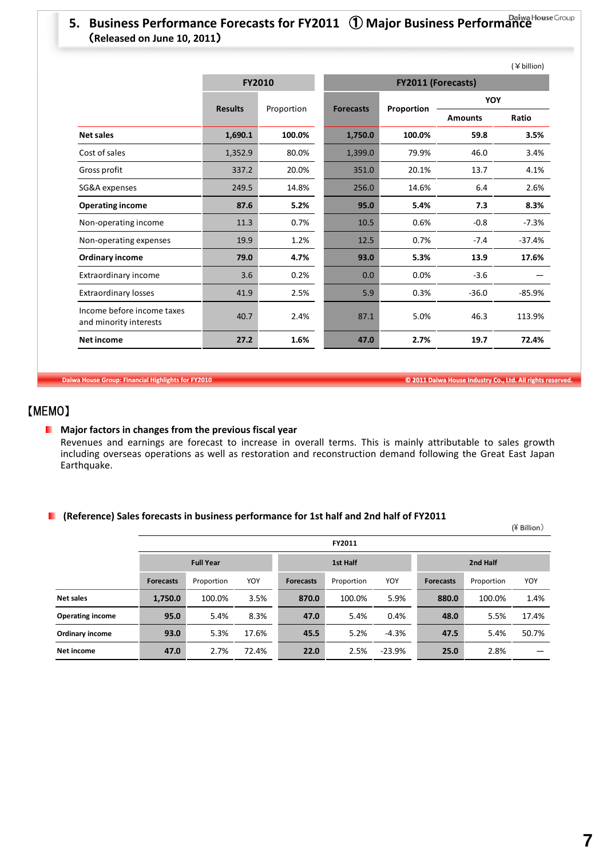# **5. Business Performance Forecasts for FY2011** ① **Major Business Performance** (**Released on June 10, 2011**)

|                                                      |                |               |                  |            |                | (¥ billion) |
|------------------------------------------------------|----------------|---------------|------------------|------------|----------------|-------------|
|                                                      |                | <b>FY2010</b> |                  |            |                |             |
|                                                      |                |               |                  |            | <b>YOY</b>     |             |
|                                                      | <b>Results</b> | Proportion    | <b>Forecasts</b> | Proportion | <b>Amounts</b> | Ratio       |
| <b>Net sales</b>                                     | 1,690.1        | 100.0%        | 1,750.0          | 100.0%     | 59.8           | 3.5%        |
| Cost of sales                                        | 1,352.9        | 80.0%         | 1,399.0          | 79.9%      | 46.0           | 3.4%        |
| Gross profit                                         | 337.2          | 20.0%         | 351.0            | 20.1%      | 13.7           | 4.1%        |
| SG&A expenses                                        | 249.5          | 14.8%         | 256.0            | 14.6%      | 6.4            | 2.6%        |
| <b>Operating income</b>                              | 87.6           | 5.2%          | 95.0             | 5.4%       | 7.3            | 8.3%        |
| Non-operating income                                 | 11.3           | 0.7%          | 10.5             | 0.6%       | $-0.8$         | $-7.3%$     |
| Non-operating expenses                               | 19.9           | 1.2%          | 12.5             | 0.7%       | $-7.4$         | $-37.4%$    |
| <b>Ordinary income</b>                               | 79.0           | 4.7%          | 93.0             | 5.3%       | 13.9           | 17.6%       |
| Extraordinary income                                 | 3.6            | 0.2%          | 0.0              | 0.0%       | $-3.6$         |             |
| <b>Extraordinary losses</b>                          | 41.9           | 2.5%          | 5.9              | 0.3%       | $-36.0$        | $-85.9%$    |
| Income before income taxes<br>and minority interests | 40.7           | 2.4%          | 87.1             | 5.0%       | 46.3           | 113.9%      |
| <b>Net income</b>                                    | 27.2           | 1.6%          | 47.0             | 2.7%       | 19.7           | 72.4%       |

Daiwa House Group: Financial Highlights for FY2010 **Canadia Accord Control Control Control Control Control Control Control Control Control Control Control Control Control Control Control Control Control Control Control Con** 

## 【MEMO】

## **Major factors in changes from the previous fiscal year**

Revenues and earnings are forecast to increase in overall terms. This is mainly attributable to sales growth including overseas operations as well as restoration and reconstruction demand following the Great East Japan Earthquake.

## **(Reference) Sales forecasts in business performance for 1st half and 2nd half of FY2011**

|                         |                  |            |       |                  |            |          |                  |            | $(\frac{1}{2}$ Billion) |  |
|-------------------------|------------------|------------|-------|------------------|------------|----------|------------------|------------|-------------------------|--|
|                         |                  |            |       |                  | FY2011     |          |                  |            |                         |  |
|                         | <b>Full Year</b> |            |       | 1st Half         |            |          | 2nd Half         |            |                         |  |
|                         | <b>Forecasts</b> | Proportion | YOY   | <b>Forecasts</b> | Proportion | YOY      | <b>Forecasts</b> | Proportion | YOY                     |  |
| <b>Net sales</b>        | 1,750.0          | 100.0%     | 3.5%  | 870.0            | 100.0%     | 5.9%     | 880.0            | 100.0%     | 1.4%                    |  |
| <b>Operating income</b> | 95.0             | 5.4%       | 8.3%  | 47.0             | 5.4%       | 0.4%     | 48.0             | 5.5%       | 17.4%                   |  |
| Ordinary income         | 93.0             | 5.3%       | 17.6% | 45.5             | 5.2%       | $-4.3%$  | 47.5             | 5.4%       | 50.7%                   |  |
| <b>Net income</b>       | 47.0             | 2.7%       | 72.4% | 22.0             | 2.5%       | $-23.9%$ | 25.0             | 2.8%       |                         |  |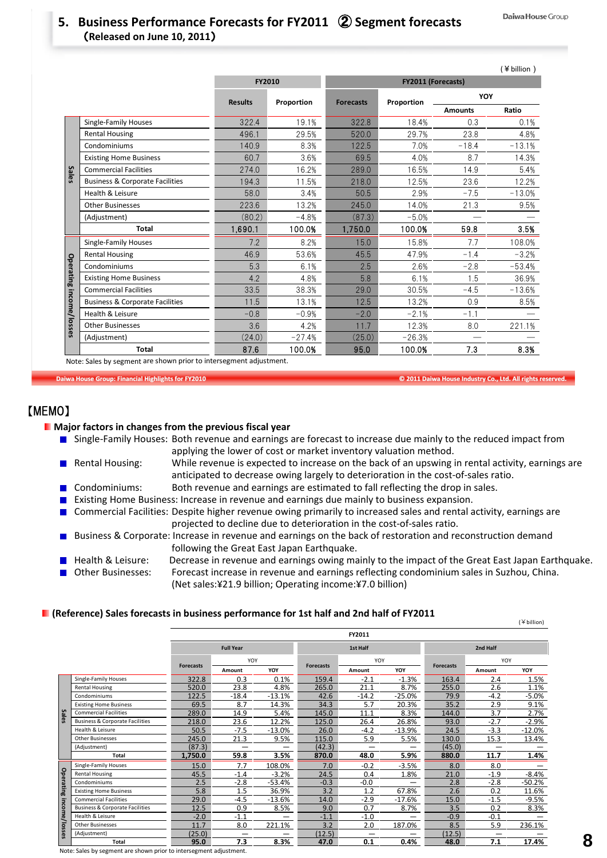## **5. Business Performance Forecasts for FY2011** ② **Segment forecasts** (**Released on June 10, 2011**)

|                         |                                            |                |            |                  |                    |                | (¥ billion) |
|-------------------------|--------------------------------------------|----------------|------------|------------------|--------------------|----------------|-------------|
|                         |                                            | FY2010         |            |                  | FY2011 (Forecasts) |                |             |
|                         |                                            | <b>Results</b> | Proportion | <b>Forecasts</b> | Proportion         | YOY            |             |
|                         |                                            |                |            |                  |                    | <b>Amounts</b> | Ratio       |
|                         | Single-Family Houses                       | 322.4          | 19.1%      | 322.8            | 18.4%              | 0.3            | 0.1%        |
|                         | <b>Rental Housing</b>                      | 496.1          | 29.5%      | 520.0            | 29.7%              | 23.8           | 4.8%        |
|                         | Condominiums                               | 140.9          | 8.3%       | 122.5            | 7.0%               | $-18.4$        | $-13.1%$    |
|                         | <b>Existing Home Business</b>              | 60.7           | 3.6%       | 69.5             | 4.0%               | 8.7            | 14.3%       |
| <b>Sales</b>            | <b>Commercial Facilities</b>               | 274.0          | 16.2%      | 289.0            | 16.5%              | 14.9           | 5.4%        |
|                         | <b>Business &amp; Corporate Facilities</b> | 194.3          | 11.5%      | 218.0            | 12.5%              | 23.6           | 12.2%       |
|                         | Health & Leisure                           | 58.0           | 3.4%       | 50.5             | 2.9%               | $-7.5$         | $-13.0%$    |
|                         | <b>Other Businesses</b>                    | 223.6          | 13.2%      | 245.0            | 14.0%              | 21.3           | 9.5%        |
|                         | (Adjustment)                               | (80.2)         | $-4.8%$    | (87.3)           | $-5.0%$            |                |             |
|                         | <b>Total</b>                               | 1,690.1        | 100.0%     | 1,750.0          | 100.0%             | 59.8           | 3.5%        |
|                         | <b>Single-Family Houses</b>                | 7.2            | 8.2%       | 15.0             | 15.8%              | 7.7            | 108.0%      |
|                         | <b>Rental Housing</b>                      | 46.9           | 53.6%      | 45.5             | 47.9%              | $-1.4$         | $-3.2%$     |
|                         | Condominiums                               | 5.3            | 6.1%       | 2.5              | 2.6%               | $-2.8$         | $-53.4%$    |
|                         | <b>Existing Home Business</b>              | 4.2            | 4.8%       | 5.8              | 6.1%               | 1.5            | 36.9%       |
|                         | <b>Commercial Facilities</b>               | 33.5           | 38.3%      | 29.0             | 30.5%              | $-4.5$         | $-13.6%$    |
|                         | <b>Business &amp; Corporate Facilities</b> | 11.5           | 13.1%      | 12.5             | 13.2%              | 0.9            | 8.5%        |
|                         | Health & Leisure                           | $-0.8$         | $-0.9%$    | $-2.0$           | $-2.1%$            | $-1.1$         |             |
| Operating income/losses | <b>Other Businesses</b>                    | 3.6            | 4.2%       | 11.7             | 12.3%              | 8.0            | 221.1%      |
|                         | (Adjustment)                               | (24.0)         | $-27.4%$   | (25.0)           | $-26.3%$           |                |             |
|                         | <b>Total</b>                               | 87.6           | 100.0%     | 95.0             | 100.0%             | 7.3            | 8.3%        |

Note: Sales by segment are shown prior to intersegment adjustment.

Daiwa House Group: Financial Highlights for FY2010 **Canadia Accord Control Control Control Control Control Control Control Control Control Control Control Control Control Control Control Control Control Control Control Con** 

## 【MEMO】

#### **Major factors in changes from the previous fiscal year**

- Single-Family Houses: Both revenue and earnings are forecast to increase due mainly to the reduced impact from applying the lower of cost or market inventory valuation method.
- **Rental Housing:** While revenue is expected to increase on the back of an upswing in rental activity, earnings are anticipated to decrease owing largely to deterioration in the cost‐of‐sales ratio. **Condominiums:** Both revenue and earnings are estimated to fall reflecting the drop in sales.
- Existing Home Business: Increase in revenue and earnings due mainly to business expansion.  $\mathbf{r}$
- Commercial Facilities: Despite higher revenue owing primarily to increased sales and rental activity, earnings are projected to decline due to deterioration in the cost‐of‐sales ratio.
- Business & Corporate: Increase in revenue and earnings on the back of restoration and reconstruction demand following the Great East Japan Earthquake.
- Health & Leisure: Decrease in revenue and earnings owing mainly to the impact of the Great East Japan Earthquake. Other Businesses: Forecast increase in revenue and earnings reflecting condominium sales in Suzhou, China. (Net sales:¥21.9 billion; Operating income:¥7.0 billion)

### **(Reference) Sales forecasts in business performance for 1st half and 2nd half of FY2011**

|               |                                            |                  |                  |          |                  | FY2011   |          |                  |                                 |          |
|---------------|--------------------------------------------|------------------|------------------|----------|------------------|----------|----------|------------------|---------------------------------|----------|
|               |                                            |                  | <b>Full Year</b> |          |                  | 1st Half |          |                  | 2nd Half                        |          |
|               |                                            |                  | YOY              |          | <b>Forecasts</b> | YOY      |          | <b>Forecasts</b> | YOY                             |          |
|               |                                            | <b>Forecasts</b> | Amount           | YOY      |                  | Amount   | YOY      |                  | Amount                          | YOY      |
|               | <b>Single-Family Houses</b>                | 322.8            | 0.3              | 0.1%     | 159.4            | $-2.1$   | $-1.3%$  | 163.4            | 2.4                             | 1.5%     |
|               | <b>Rental Housing</b>                      | 520.0            | 23.8             | 4.8%     | 265.0            | 21.1     | 8.7%     | 255.0            | 2.6                             | 1.1%     |
|               | Condominiums                               | 122.5            | $-18.4$          | $-13.1%$ | 42.6             | $-14.2$  | $-25.0%$ | 79.9             | $-4.2$                          | $-5.0%$  |
|               | <b>Existing Home Business</b>              | 69.5             | 8.7              | 14.3%    | 34.3             | 5.7      | 20.3%    | 35.2             | 2.9                             | 9.1%     |
| <b>Sales</b>  | <b>Commercial Facilities</b>               | 289.0            | 14.9             | 5.4%     | 145.0            | 11.1     | 8.3%     | 144.0            | 3.7                             | 2.7%     |
|               | <b>Business &amp; Corporate Facilities</b> | 218.0            | 23.6             | 12.2%    | 125.0            | 26.4     | 26.8%    | 93.0             | $-2.7$                          | -2.9%    |
|               | Health & Leisure                           | 50.5             | $-7.5$           | $-13.0%$ | 26.0             | $-4.2$   | $-13.9%$ | 24.5             | $-3.3$                          | $-12.0%$ |
|               | <b>Other Businesses</b>                    | 245.0            | 21.3             | 9.5%     | 115.0            | 5.9      | 5.5%     | 130.0            | 15.3                            | 13.4%    |
|               | (Adjustment)                               | (87.3)           |                  |          | (42.3)           | —        | —        | (45.0)           | -                               |          |
|               | Total                                      | 1,750.0          | 59.8             | 3.5%     | 870.0            | 48.0     | 5.9%     | 880.0            | 11.7                            | 1.4%     |
|               | <b>Single-Family Houses</b>                | 15.0             | 7.7              | 108.0%   | 7.0              | $-0.2$   | $-3.5%$  | 8.0              | 8.0                             |          |
|               | <b>Rental Housing</b>                      | 45.5             | $-1.4$           | $-3.2%$  | 24.5             | 0.4      | 1.8%     | 21.0             | $-1.9$                          | $-8.4%$  |
|               | Condominiums                               | 2.5              | $-2.8$           | $-53.4%$ | $-0.3$           | $-0.0$   |          | 2.8              | $-2.8$                          | -50.2%   |
| Operating     | <b>Existing Home Business</b>              | 5.8              | 1.5              | 36.9%    | 3.2              | 1.2      | 67.8%    | 2.6              | 0.2                             | 11.6%    |
|               | <b>Commercial Facilities</b>               | 29.0             | $-4.5$           | $-13.6%$ | 14.0             | $-2.9$   | $-17.6%$ | 15.0             | $-1.5$                          | -9.5%    |
| income/losses | <b>Business &amp; Corporate Facilities</b> | 12.5             | 0.9              | 8.5%     | 9.0              | 0.7      | 8.7%     | 3.5              | 0.2                             | 8.3%     |
|               | Health & Leisure                           | $-2.0$           | $-1.1$           |          | $-1.1$           | $-1.0$   |          | $-0.9$           | $-0.1$                          |          |
|               | <b>Other Businesses</b>                    | 11.7             | 8.0              | 221.1%   | 3.2              | 2.0      | 187.0%   | 8.5              | 5.9                             | 236.1%   |
|               | (Adjustment)                               | (25.0)           | -                |          | (12.5)           | -        |          | (12.5)           | $\overbrace{\phantom{1232211}}$ |          |
|               | <b>Total</b>                               | 95.0             | 7.3              | 8.3%     | 47.0             | 0.1      | 0.4%     | 48.0             | 7.1                             | 17.4%    |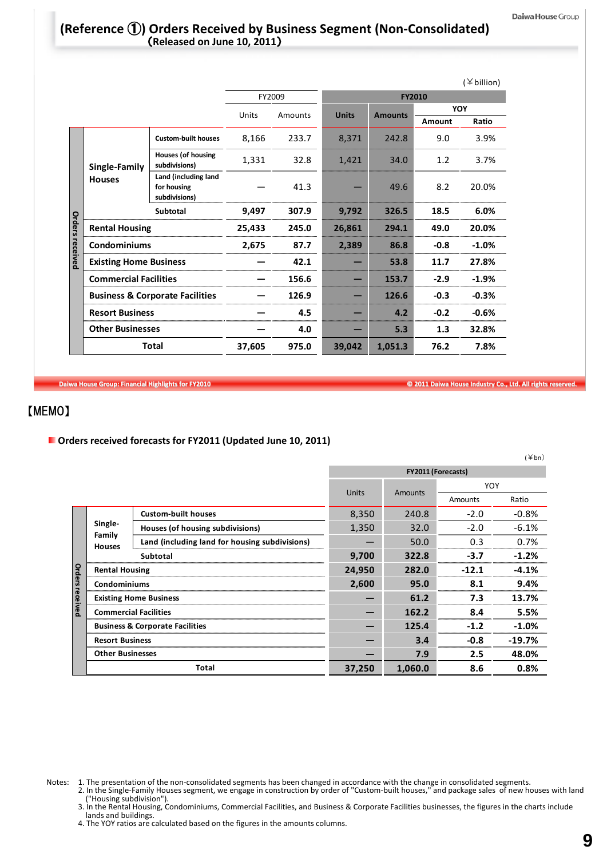## **(Reference** ①**) Orders Received by Business Segment (Non‐Consolidated)** (**Released on June 10, 2011**)

|                 |                                            |                                                      |        |         |              |                |        | $(*\text{ billion})$ |  |  |
|-----------------|--------------------------------------------|------------------------------------------------------|--------|---------|--------------|----------------|--------|----------------------|--|--|
|                 |                                            |                                                      |        | FY2009  | FY2010       |                |        |                      |  |  |
|                 |                                            |                                                      | Units  | Amounts | <b>Units</b> | <b>Amounts</b> | YOY    |                      |  |  |
|                 |                                            |                                                      |        |         |              |                | Amount | Ratio                |  |  |
|                 | Single-Family<br><b>Houses</b>             | <b>Custom-built houses</b>                           | 8,166  | 233.7   | 8,371        | 242.8          | 9.0    | 3.9%                 |  |  |
|                 |                                            | <b>Houses (of housing</b><br>subdivisions)           | 1,331  | 32.8    | 1,421        | 34.0           | 1.2    | 3.7%                 |  |  |
|                 |                                            | Land (including land<br>for housing<br>subdivisions) |        | 41.3    |              | 49.6           | 8.2    | 20.0%                |  |  |
|                 |                                            | Subtotal                                             | 9,497  | 307.9   | 9,792        | 326.5          | 18.5   | 6.0%                 |  |  |
|                 | <b>Rental Housing</b>                      |                                                      | 25,433 | 245.0   | 26,861       | 294.1          | 49.0   | 20.0%                |  |  |
| Orders received | <b>Condominiums</b>                        |                                                      | 2,675  | 87.7    | 2,389        | 86.8           | $-0.8$ | $-1.0%$              |  |  |
|                 | <b>Existing Home Business</b>              |                                                      |        | 42.1    |              | 53.8           | 11.7   | 27.8%                |  |  |
|                 | <b>Commercial Facilities</b>               |                                                      |        | 156.6   |              | 153.7          | $-2.9$ | $-1.9%$              |  |  |
|                 | <b>Business &amp; Corporate Facilities</b> |                                                      |        | 126.9   |              | 126.6          | $-0.3$ | $-0.3%$              |  |  |
|                 |                                            | <b>Resort Business</b>                               |        | 4.5     |              | 4.2            | $-0.2$ | $-0.6%$              |  |  |
|                 | <b>Other Businesses</b>                    |                                                      |        | 4.0     |              | 5.3            | 1.3    | 32.8%                |  |  |
|                 | <b>Total</b>                               |                                                      | 37,605 | 975.0   | 39,042       | 1,051.3        | 76.2   | 7.8%                 |  |  |

Daiwa House Group: Financial Highlights for FY2010 **Canadian Control of Canadian Control Control Control Control Control Control Control Control Control Control Control Control Control Control Control Control Control Contr** 

## 【MEMO】

**Orders received forecasts for FY2011 (Updated June 10, 2011)**

|                        |                                    |                                                |                    |                                |                | $(\n\geq b_n)$ |  |  |
|------------------------|------------------------------------|------------------------------------------------|--------------------|--------------------------------|----------------|----------------|--|--|
|                        |                                    |                                                | FY2011 (Forecasts) |                                |                |                |  |  |
|                        |                                    |                                                |                    | <b>Units</b><br><b>Amounts</b> |                |                |  |  |
|                        |                                    |                                                |                    |                                | <b>Amounts</b> | Ratio          |  |  |
|                        |                                    | <b>Custom-built houses</b>                     | 8,350              | 240.8                          | $-2.0$         | $-0.8\%$       |  |  |
|                        | Single-<br>Family<br><b>Houses</b> | Houses (of housing subdivisions)               | 1,350              | 32.0                           | $-2.0$         | $-6.1%$        |  |  |
|                        |                                    | Land (including land for housing subdivisions) |                    | 50.0                           | 0.3            | 0.7%           |  |  |
|                        |                                    | Subtotal                                       | 9,700              | 322.8                          | $-3.7$         | $-1.2%$        |  |  |
| <b>Orders received</b> | <b>Rental Housing</b>              |                                                | 24,950             | 282.0                          | $-12.1$        | $-4.1%$        |  |  |
|                        | Condominiums                       |                                                | 2,600              | 95.0                           | 8.1            | 9.4%           |  |  |
|                        |                                    | <b>Existing Home Business</b>                  |                    | 61.2                           | 7.3            | 13.7%          |  |  |
|                        |                                    | <b>Commercial Facilities</b>                   |                    | 162.2                          | 8.4            | 5.5%           |  |  |
|                        |                                    | <b>Business &amp; Corporate Facilities</b>     |                    | 125.4                          | $-1.2$         | $-1.0%$        |  |  |
|                        | <b>Resort Business</b>             |                                                |                    | 3.4                            | $-0.8$         | $-19.7%$       |  |  |
|                        | <b>Other Businesses</b>            |                                                |                    | 7.9                            | 2.5            | 48.0%          |  |  |
|                        |                                    | Total                                          | 37,250             | 1,060.0                        | 8.6            | 0.8%           |  |  |

- Notes: 1. The presentation of the non‐consolidated segments has been changed in accordance with the change in consolidated segments.
	- 2. In the Single‐Family Houses segment, we engage in construction by order of "Custom‐built houses," and package sales of new houses with land ("Housing subdivision").
	- 3. In the Rental Housing, Condominiums, Commercial Facilities, and Business & Corporate Facilities businesses, the figures in the charts include lands and buildings.
	- 4. The YOY ratios are calculated based on the figures in the amounts columns.